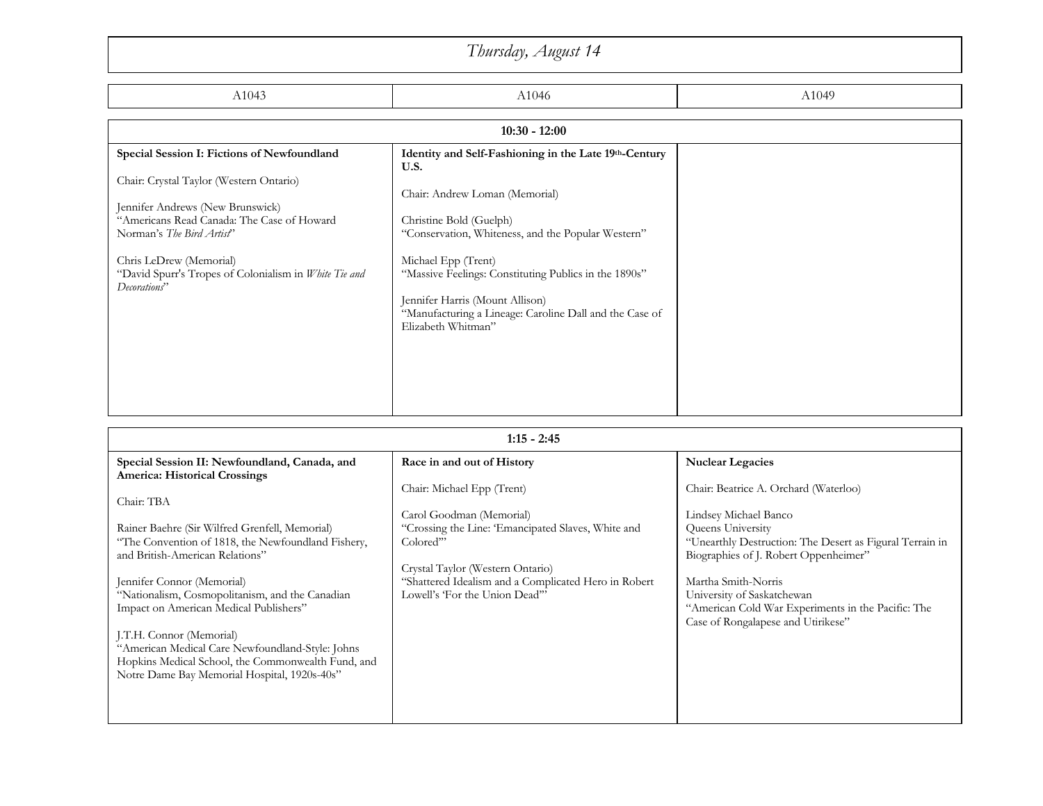## A1043 And Ann and A1046 And Ann and Ann and Ann and Ann and Ann and Ann and Ann and Ann and Ann and Ann and An **Special Session I: Fictions of Newfoundland** Chair: Crystal Taylor (Western Ontario) Jennifer Andrews (New Brunswick) "Americans Read Canada: The Case of Howard Norman's *The Bird Artist*" Chris LeDrew (Memorial) "David Spurr's Tropes of Colonialism in *White Tie and Decorations*" **Identity and Self-Fashioning in the Late 19th-Century U.S.** Chair: Andrew Loman (Memorial) Christine Bold (Guelph) "Conservation, Whiteness, and the Popular Western" Michael Epp (Trent) "Massive Feelings: Constituting Publics in the 1890s" Jennifer Harris (Mount Allison) "Manufacturing a Lineage: Caroline Dall and the Case of Elizabeth Whitman" *Thursday, August 14* **10:30 - 12:00**

| $1:15 - 2:45$                                                                                      |                                                      |                                                                                                   |
|----------------------------------------------------------------------------------------------------|------------------------------------------------------|---------------------------------------------------------------------------------------------------|
| Special Session II: Newfoundland, Canada, and                                                      | Race in and out of History                           | <b>Nuclear Legacies</b>                                                                           |
| <b>America: Historical Crossings</b>                                                               | Chair: Michael Epp (Trent)                           | Chair: Beatrice A. Orchard (Waterloo)                                                             |
| Chair: TBA                                                                                         |                                                      |                                                                                                   |
|                                                                                                    | Carol Goodman (Memorial)                             | Lindsey Michael Banco                                                                             |
| Rainer Baehre (Sir Wilfred Grenfell, Memorial)                                                     | "Crossing the Line: 'Emancipated Slaves, White and   | Queens University                                                                                 |
| "The Convention of 1818, the Newfoundland Fishery,<br>and British-American Relations"              | Colored"                                             | "Unearthly Destruction: The Desert as Figural Terrain in<br>Biographies of J. Robert Oppenheimer" |
|                                                                                                    | Crystal Taylor (Western Ontario)                     |                                                                                                   |
| Jennifer Connor (Memorial)                                                                         | "Shattered Idealism and a Complicated Hero in Robert | Martha Smith-Norris                                                                               |
| "Nationalism, Cosmopolitanism, and the Canadian<br>Impact on American Medical Publishers"          | Lowell's 'For the Union Dead"                        | University of Saskatchewan<br>"American Cold War Experiments in the Pacific: The                  |
|                                                                                                    |                                                      | Case of Rongalapese and Utirikese"                                                                |
| J.T.H. Connor (Memorial)                                                                           |                                                      |                                                                                                   |
| "American Medical Care Newfoundland-Style: Johns                                                   |                                                      |                                                                                                   |
| Hopkins Medical School, the Commonwealth Fund, and<br>Notre Dame Bay Memorial Hospital, 1920s-40s" |                                                      |                                                                                                   |
|                                                                                                    |                                                      |                                                                                                   |
|                                                                                                    |                                                      |                                                                                                   |
|                                                                                                    |                                                      |                                                                                                   |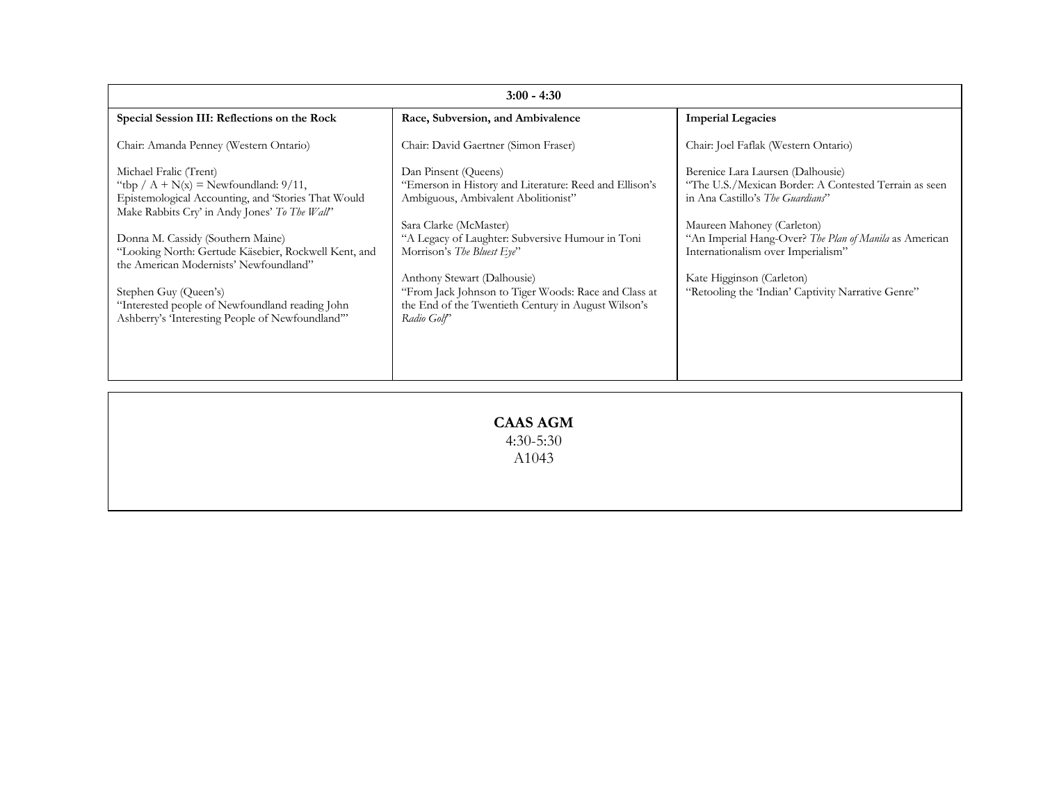| $3:00 - 4:30$                                                                                                                                                             |                                                                                                                                                           |                                                                                                                                        |
|---------------------------------------------------------------------------------------------------------------------------------------------------------------------------|-----------------------------------------------------------------------------------------------------------------------------------------------------------|----------------------------------------------------------------------------------------------------------------------------------------|
| Special Session III: Reflections on the Rock                                                                                                                              | Race, Subversion, and Ambivalence                                                                                                                         | <b>Imperial Legacies</b>                                                                                                               |
| Chair: Amanda Penney (Western Ontario)                                                                                                                                    | Chair: David Gaertner (Simon Fraser)                                                                                                                      | Chair: Joel Faflak (Western Ontario)                                                                                                   |
| Michael Fralic (Trent)<br>"tbp / $A + N(x) =$ Newfoundland: 9/11,<br>Epistemological Accounting, and 'Stories That Would<br>Make Rabbits Cry' in Andy Jones' To The Wall' | Dan Pinsent (Queens)<br>"Emerson in History and Literature: Reed and Ellison's<br>Ambiguous, Ambivalent Abolitionist"                                     | Berenice Lara Laursen (Dalhousie)<br>"The U.S./Mexican Border: A Contested Terrain as seen<br>in Ana Castillo's <i>The Guardians</i> " |
| Donna M. Cassidy (Southern Maine)<br>"Looking North: Gertude Käsebier, Rockwell Kent, and<br>the American Modernists' Newfoundland"                                       | Sara Clarke (McMaster)<br>"A Legacy of Laughter: Subversive Humour in Toni<br>Morrison's The Bluest Eye"                                                  | Maureen Mahoney (Carleton)<br>"An Imperial Hang-Over? The Plan of Manila as American<br>Internationalism over Imperialism"             |
| Stephen Guy (Queen's)<br>"Interested people of Newfoundland reading John<br>Ashberry's 'Interesting People of Newfoundland"                                               | Anthony Stewart (Dalhousie)<br>"From Jack Johnson to Tiger Woods: Race and Class at<br>the End of the Twentieth Century in August Wilson's<br>Radio Golf' | Kate Higginson (Carleton)<br>"Retooling the 'Indian' Captivity Narrative Genre"                                                        |
|                                                                                                                                                                           |                                                                                                                                                           |                                                                                                                                        |

**CAAS AGM**  4:30-5:30 A1043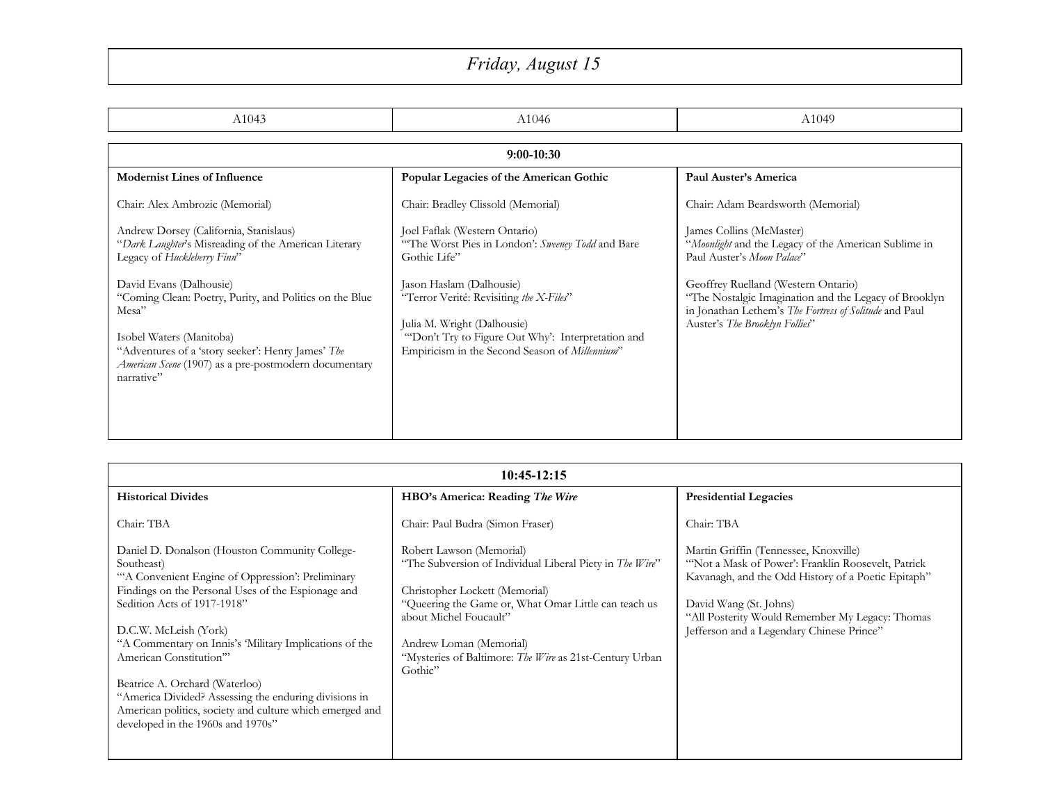## *Friday, August 15*

| A1043                                                                                                                                                                                                                                               | A1046                                                                                                                                                                                                     | A1049                                                                                                                                                                                    |
|-----------------------------------------------------------------------------------------------------------------------------------------------------------------------------------------------------------------------------------------------------|-----------------------------------------------------------------------------------------------------------------------------------------------------------------------------------------------------------|------------------------------------------------------------------------------------------------------------------------------------------------------------------------------------------|
| $9:00-10:30$                                                                                                                                                                                                                                        |                                                                                                                                                                                                           |                                                                                                                                                                                          |
| <b>Modernist Lines of Influence</b>                                                                                                                                                                                                                 | Popular Legacies of the American Gothic                                                                                                                                                                   | Paul Auster's America                                                                                                                                                                    |
| Chair: Alex Ambrozic (Memorial)                                                                                                                                                                                                                     | Chair: Bradley Clissold (Memorial)                                                                                                                                                                        | Chair: Adam Beardsworth (Memorial)                                                                                                                                                       |
| Andrew Dorsey (California, Stanislaus)<br>"Dark Laughter's Misreading of the American Literary<br>Legacy of Huckleberry Finn"                                                                                                                       | Joel Faflak (Western Ontario)<br>"The Worst Pies in London': Sweeney Todd and Bare<br>Gothic Life"                                                                                                        | James Collins (McMaster)<br>"Moonlight and the Legacy of the American Sublime in<br>Paul Auster's Moon Palace"                                                                           |
| David Evans (Dalhousie)<br>"Coming Clean: Poetry, Purity, and Politics on the Blue<br>Mesa"<br>Isobel Waters (Manitoba)<br>"Adventures of a 'story seeker': Henry James' The<br>American Scene (1907) as a pre-postmodern documentary<br>narrative" | Jason Haslam (Dalhousie)<br>"Terror Verité: Revisiting the X-Files"<br>Julia M. Wright (Dalhousie)<br>"Don't Try to Figure Out Why': Interpretation and<br>Empiricism in the Second Season of Millennium" | Geoffrey Ruelland (Western Ontario)<br>"The Nostalgic Imagination and the Legacy of Brooklyn<br>in Jonathan Lethem's The Fortress of Solitude and Paul<br>Auster's The Brooklyn Follies" |

| $10:45-12:15$                                                                                                                                                                                                                                                                                                                                                                                                                                                                                                  |                                                                                                                                                                                                                                                                                                           |                                                                                                                                                                                                                                                                             |
|----------------------------------------------------------------------------------------------------------------------------------------------------------------------------------------------------------------------------------------------------------------------------------------------------------------------------------------------------------------------------------------------------------------------------------------------------------------------------------------------------------------|-----------------------------------------------------------------------------------------------------------------------------------------------------------------------------------------------------------------------------------------------------------------------------------------------------------|-----------------------------------------------------------------------------------------------------------------------------------------------------------------------------------------------------------------------------------------------------------------------------|
| <b>Historical Divides</b>                                                                                                                                                                                                                                                                                                                                                                                                                                                                                      | HBO's America: Reading The Wire                                                                                                                                                                                                                                                                           | <b>Presidential Legacies</b>                                                                                                                                                                                                                                                |
| Chair: TBA                                                                                                                                                                                                                                                                                                                                                                                                                                                                                                     | Chair: Paul Budra (Simon Fraser)                                                                                                                                                                                                                                                                          | Chair: TBA                                                                                                                                                                                                                                                                  |
| Daniel D. Donalson (Houston Community College-<br>Southeast)<br>"A Convenient Engine of Oppression': Preliminary<br>Findings on the Personal Uses of the Espionage and<br>Sedition Acts of 1917-1918"<br>D.C.W. McLeish (York)<br>"A Commentary on Innis's 'Military Implications of the<br>American Constitution"<br>Beatrice A. Orchard (Waterloo)<br>"America Divided? Assessing the enduring divisions in<br>American politics, society and culture which emerged and<br>developed in the 1960s and 1970s" | Robert Lawson (Memorial)<br>"The Subversion of Individual Liberal Piety in The Wire"<br>Christopher Lockett (Memorial)<br>"Queering the Game or, What Omar Little can teach us<br>about Michel Foucault"<br>Andrew Loman (Memorial)<br>"Mysteries of Baltimore: The Wire as 21st-Century Urban<br>Gothic" | Martin Griffin (Tennessee, Knoxville)<br>"Not a Mask of Power': Franklin Roosevelt, Patrick<br>Kavanagh, and the Odd History of a Poetic Epitaph"<br>David Wang (St. Johns)<br>"All Posterity Would Remember My Legacy: Thomas<br>Jefferson and a Legendary Chinese Prince" |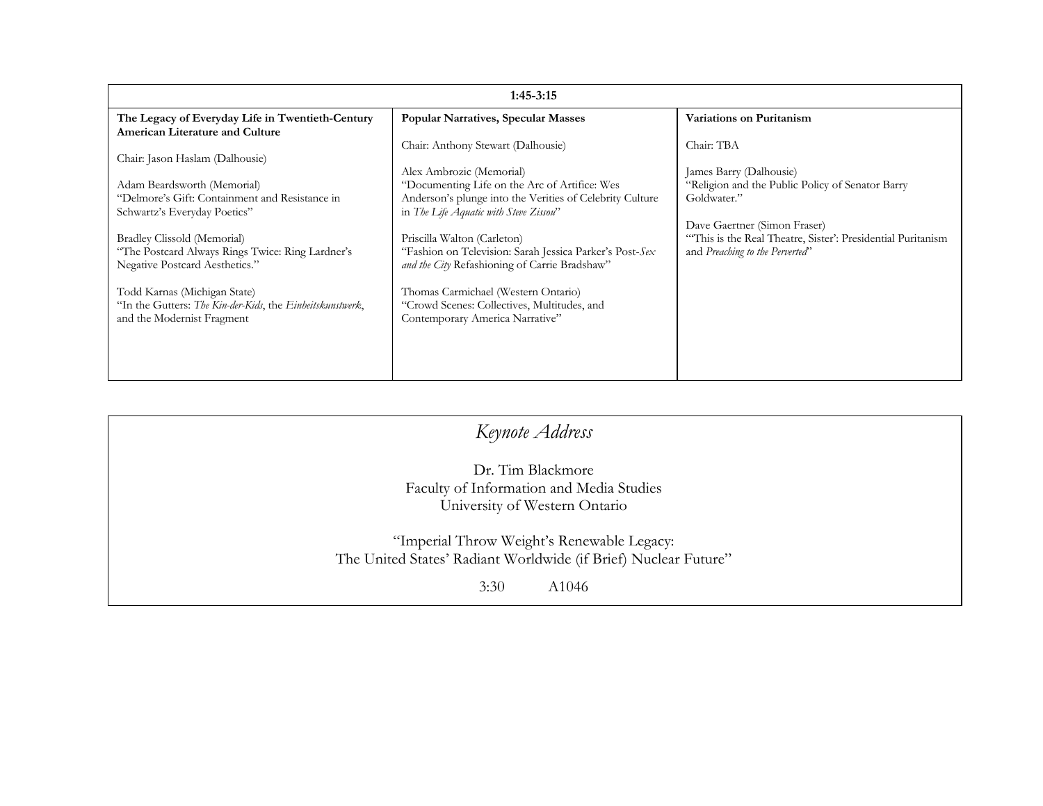| $1:45-3:15$                                               |                                                          |                                                             |
|-----------------------------------------------------------|----------------------------------------------------------|-------------------------------------------------------------|
| The Legacy of Everyday Life in Twentieth-Century          | <b>Popular Narratives, Specular Masses</b>               | Variations on Puritanism                                    |
| <b>American Literature and Culture</b>                    |                                                          |                                                             |
|                                                           | Chair: Anthony Stewart (Dalhousie)                       | Chair: TBA                                                  |
| Chair: Jason Haslam (Dalhousie)                           | Alex Ambrozic (Memorial)                                 | James Barry (Dalhousie)                                     |
| Adam Beardsworth (Memorial)                               | "Documenting Life on the Arc of Artifice: Wes            | "Religion and the Public Policy of Senator Barry            |
| "Delmore's Gift: Containment and Resistance in            | Anderson's plunge into the Verities of Celebrity Culture | Goldwater."                                                 |
| Schwartz's Everyday Poetics"                              | in The Life Aquatic with Steve Zissou"                   |                                                             |
|                                                           |                                                          | Dave Gaertner (Simon Fraser)                                |
| Bradley Clissold (Memorial)                               | Priscilla Walton (Carleton)                              | "This is the Real Theatre, Sister': Presidential Puritanism |
| "The Postcard Always Rings Twice: Ring Lardner's          | "Fashion on Television: Sarah Jessica Parker's Post-Sex  | and Preaching to the Perverted"                             |
| Negative Postcard Aesthetics."                            | and the City Refashioning of Carrie Bradshaw"            |                                                             |
| Todd Karnas (Michigan State)                              | Thomas Carmichael (Western Ontario)                      |                                                             |
| "In the Gutters: The Kin-der-Kids, the Einheitskunstwerk, | "Crowd Scenes: Collectives, Multitudes, and              |                                                             |
| and the Modernist Fragment                                | Contemporary America Narrative"                          |                                                             |
|                                                           |                                                          |                                                             |
|                                                           |                                                          |                                                             |
|                                                           |                                                          |                                                             |
|                                                           |                                                          |                                                             |

| Keynote Address                                                 |  |
|-----------------------------------------------------------------|--|
| Dr. Tim Blackmore                                               |  |
| Faculty of Information and Media Studies                        |  |
| University of Western Ontario                                   |  |
| "Imperial Throw Weight's Renewable Legacy:                      |  |
| The United States' Radiant Worldwide (if Brief) Nuclear Future" |  |
| 3:30<br>A <sub>1046</sub>                                       |  |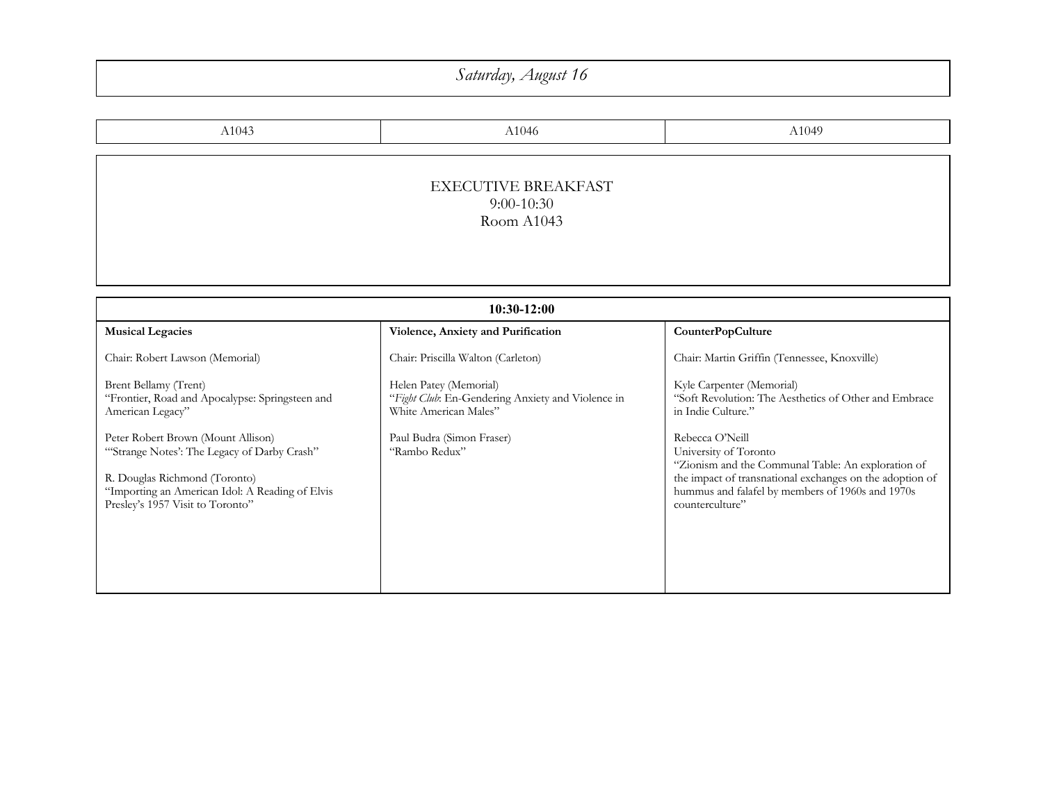## *Saturday, August 16*

| A1043                                      | A1046 | A1049 |
|--------------------------------------------|-------|-------|
| <b>EXECUTIVE BREAKFAST</b><br>$9:00-10:30$ |       |       |
| Room A1043                                 |       |       |

| $10:30-12:00$                                                                                                                                                                                             |                                                                                                      |                                                                                                                                                                                                                                   |
|-----------------------------------------------------------------------------------------------------------------------------------------------------------------------------------------------------------|------------------------------------------------------------------------------------------------------|-----------------------------------------------------------------------------------------------------------------------------------------------------------------------------------------------------------------------------------|
| <b>Musical Legacies</b>                                                                                                                                                                                   | Violence, Anxiety and Purification                                                                   | <b>CounterPopCulture</b>                                                                                                                                                                                                          |
| Chair: Robert Lawson (Memorial)                                                                                                                                                                           | Chair: Priscilla Walton (Carleton)                                                                   | Chair: Martin Griffin (Tennessee, Knoxville)                                                                                                                                                                                      |
| Brent Bellamy (Trent)<br>"Frontier, Road and Apocalypse: Springsteen and<br>American Legacy"                                                                                                              | Helen Patey (Memorial)<br>"Fight Club: En-Gendering Anxiety and Violence in<br>White American Males" | Kyle Carpenter (Memorial)<br>"Soft Revolution: The Aesthetics of Other and Embrace"<br>in Indie Culture."                                                                                                                         |
| Peter Robert Brown (Mount Allison)<br>"Strange Notes': The Legacy of Darby Crash"<br>R. Douglas Richmond (Toronto)<br>"Importing an American Idol: A Reading of Elvis<br>Presley's 1957 Visit to Toronto" | Paul Budra (Simon Fraser)<br>"Rambo Redux"                                                           | Rebecca O'Neill<br>University of Toronto<br>"Zionism and the Communal Table: An exploration of<br>the impact of transnational exchanges on the adoption of<br>hummus and falafel by members of 1960s and 1970s<br>counterculture" |